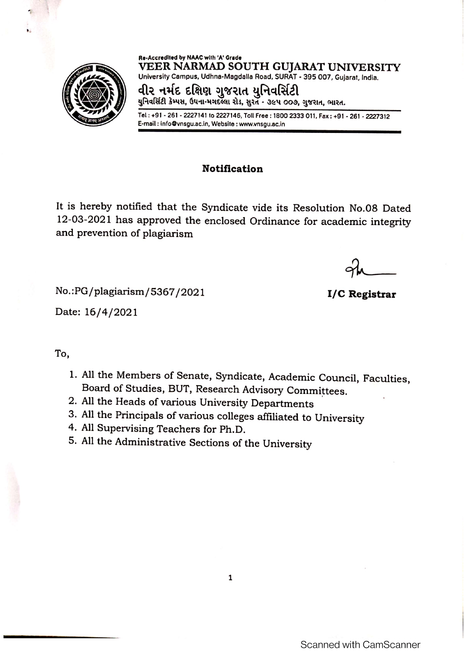

Re-Accredited by NAAC with 'A' Grade VEER NARMAD SOUTH GUJARAT UNIVERSITY University Campus, Udhna-Magdalla Road, SURAT - 395 007, Gujarat, India.

વીર નર્મદ દક્ષિણ ગુજરાત યુનિવર્સિટી યુનિવર્સિટી કેમ્પસ, ઉધના-મગદલ્લા રોડ, સુરત - ૩૯૫ ૦૦૭, ગુજરાત, ભારત.

Tel: +91 - 261 - 2227141 to 2227146, Toll Free: 1800 2333 011, Fax: +91 - 261 - 2227312 E-mail: info@vnsgu.ac.in, Website: www.vnsgu.ac.in

## **Notification**

It is hereby notified that the Syndicate vide its Resolution No.08 Dated 12-03-2021 has approved the enclosed Ordinance for academic integrity and prevention of plagiarism

I/C Registrar

No.: PG/plagiarism/5367/2021

Date: 16/4/2021

## To,

- 1. All the Members of Senate, Syndicate, Academic Council, Faculties, Board of Studies, BUT, Research Advisory Committees.
- 2. All the Heads of various University Departments
- 3. All the Principals of various colleges affiliated to University
- 4. All Supervising Teachers for Ph.D.
- 5. All the Administrative Sections of the University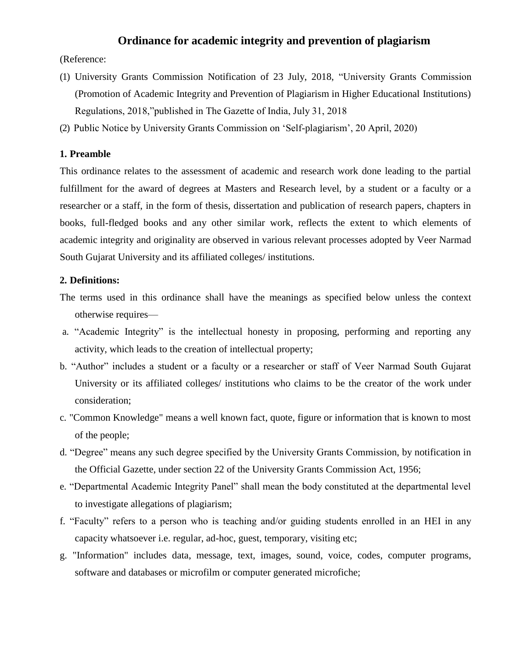### **Ordinance for academic integrity and prevention of plagiarism**

(Reference:

- (1) University Grants Commission Notification of 23 July, 2018, "University Grants Commission (Promotion of Academic Integrity and Prevention of Plagiarism in Higher Educational Institutions) Regulations, 2018,"published in The Gazette of India, July 31, 2018
- (2) Public Notice by University Grants Commission on 'Self-plagiarism', 20 April, 2020)

#### **1. Preamble**

This ordinance relates to the assessment of academic and research work done leading to the partial fulfillment for the award of degrees at Masters and Research level, by a student or a faculty or a researcher or a staff, in the form of thesis, dissertation and publication of research papers, chapters in books, full-fledged books and any other similar work, reflects the extent to which elements of academic integrity and originality are observed in various relevant processes adopted by Veer Narmad South Gujarat University and its affiliated colleges/ institutions.

#### **2. Definitions:**

- The terms used in this ordinance shall have the meanings as specified below unless the context otherwise requires—
- a. "Academic Integrity" is the intellectual honesty in proposing, performing and reporting any activity, which leads to the creation of intellectual property;
- b. "Author" includes a student or a faculty or a researcher or staff of Veer Narmad South Gujarat University or its affiliated colleges/ institutions who claims to be the creator of the work under consideration;
- c. "Common Knowledge" means a well known fact, quote, figure or information that is known to most of the people;
- d. "Degree" means any such degree specified by the University Grants Commission, by notification in the Official Gazette, under section 22 of the University Grants Commission Act, 1956;
- e. "Departmental Academic Integrity Panel" shall mean the body constituted at the departmental level to investigate allegations of plagiarism;
- f. "Faculty" refers to a person who is teaching and/or guiding students enrolled in an HEI in any capacity whatsoever i.e. regular, ad-hoc, guest, temporary, visiting etc;
- g. "Information" includes data, message, text, images, sound, voice, codes, computer programs, software and databases or microfilm or computer generated microfiche;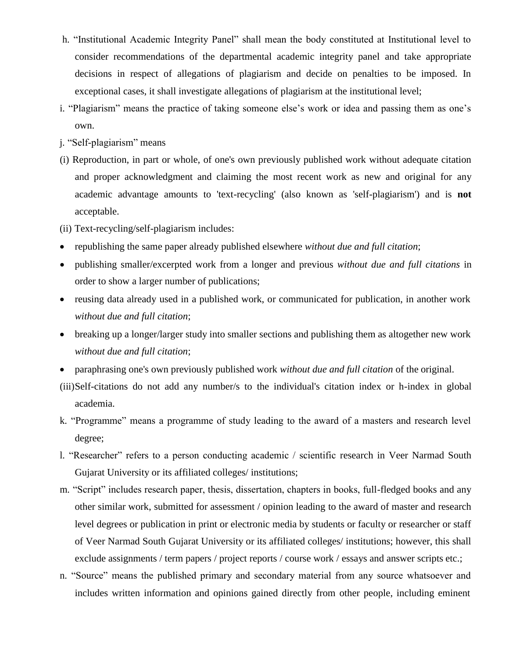- h. "Institutional Academic Integrity Panel" shall mean the body constituted at Institutional level to consider recommendations of the departmental academic integrity panel and take appropriate decisions in respect of allegations of plagiarism and decide on penalties to be imposed. In exceptional cases, it shall investigate allegations of plagiarism at the institutional level;
- i. "Plagiarism" means the practice of taking someone else's work or idea and passing them as one's own.
- j. "Self-plagiarism" means
- (i) Reproduction, in part or whole, of one's own previously published work without adequate citation and proper acknowledgment and claiming the most recent work as new and original for any academic advantage amounts to 'text-recycling' (also known as 'self-plagiarism') and is **not**  acceptable.
- (ii) Text-recycling/self-plagiarism includes:
- republishing the same paper already published elsewhere *without due and full citation*;
- publishing smaller/excerpted work from a longer and previous *without due and full citations* in order to show a larger number of publications;
- reusing data already used in a published work, or communicated for publication, in another work *without due and full citation*;
- breaking up a longer/larger study into smaller sections and publishing them as altogether new work *without due and full citation*;
- paraphrasing one's own previously published work *without due and full citation* of the original.
- (iii)Self-citations do not add any number/s to the individual's citation index or h-index in global academia.
- k. "Programme" means a programme of study leading to the award of a masters and research level degree;
- l. "Researcher" refers to a person conducting academic / scientific research in Veer Narmad South Gujarat University or its affiliated colleges/ institutions;
- m. "Script" includes research paper, thesis, dissertation, chapters in books, full-fledged books and any other similar work, submitted for assessment / opinion leading to the award of master and research level degrees or publication in print or electronic media by students or faculty or researcher or staff of Veer Narmad South Gujarat University or its affiliated colleges/ institutions; however, this shall exclude assignments / term papers / project reports / course work / essays and answer scripts etc.;
- n. "Source" means the published primary and secondary material from any source whatsoever and includes written information and opinions gained directly from other people, including eminent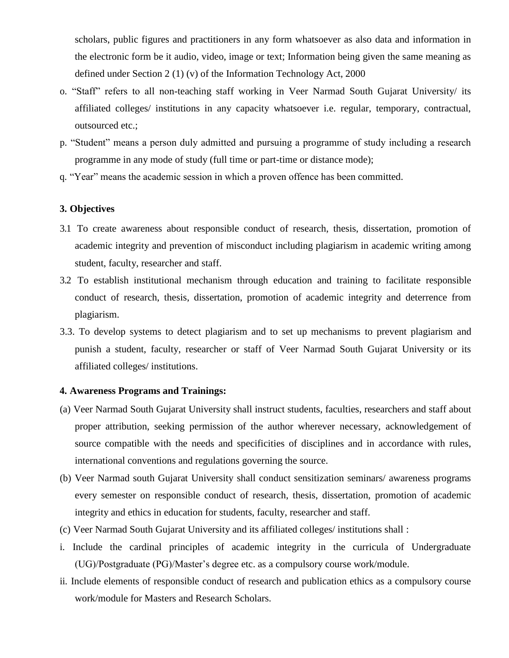scholars, public figures and practitioners in any form whatsoever as also data and information in the electronic form be it audio, video, image or text; Information being given the same meaning as defined under Section 2 (1) (v) of the Information Technology Act, 2000

- o. "Staff" refers to all non-teaching staff working in Veer Narmad South Gujarat University/ its affiliated colleges/ institutions in any capacity whatsoever i.e. regular, temporary, contractual, outsourced etc.;
- p. "Student" means a person duly admitted and pursuing a programme of study including a research programme in any mode of study (full time or part-time or distance mode);
- q. "Year" means the academic session in which a proven offence has been committed.

#### **3. Objectives**

- 3.1 To create awareness about responsible conduct of research, thesis, dissertation, promotion of academic integrity and prevention of misconduct including plagiarism in academic writing among student, faculty, researcher and staff.
- 3.2 To establish institutional mechanism through education and training to facilitate responsible conduct of research, thesis, dissertation, promotion of academic integrity and deterrence from plagiarism.
- 3.3. To develop systems to detect plagiarism and to set up mechanisms to prevent plagiarism and punish a student, faculty, researcher or staff of Veer Narmad South Gujarat University or its affiliated colleges/ institutions.

#### **4. Awareness Programs and Trainings:**

- (a) Veer Narmad South Gujarat University shall instruct students, faculties, researchers and staff about proper attribution, seeking permission of the author wherever necessary, acknowledgement of source compatible with the needs and specificities of disciplines and in accordance with rules, international conventions and regulations governing the source.
- (b) Veer Narmad south Gujarat University shall conduct sensitization seminars/ awareness programs every semester on responsible conduct of research, thesis, dissertation, promotion of academic integrity and ethics in education for students, faculty, researcher and staff.
- (c) Veer Narmad South Gujarat University and its affiliated colleges/ institutions shall :
- i. Include the cardinal principles of academic integrity in the curricula of Undergraduate (UG)/Postgraduate (PG)/Master's degree etc. as a compulsory course work/module.
- ii. Include elements of responsible conduct of research and publication ethics as a compulsory course work/module for Masters and Research Scholars.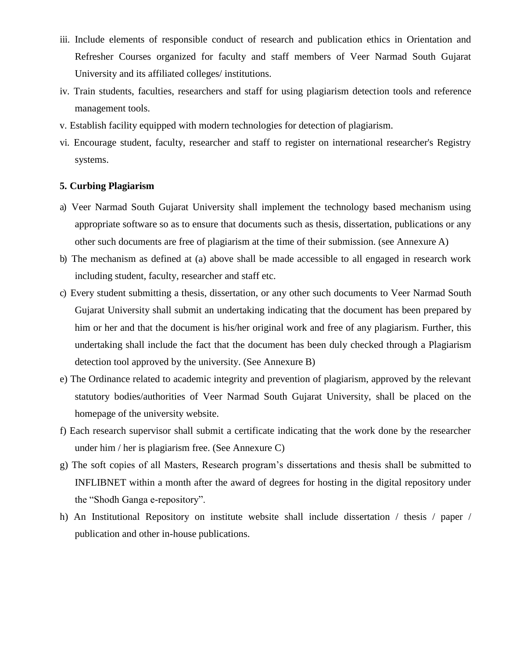- iii. Include elements of responsible conduct of research and publication ethics in Orientation and Refresher Courses organized for faculty and staff members of Veer Narmad South Gujarat University and its affiliated colleges/ institutions.
- iv. Train students, faculties, researchers and staff for using plagiarism detection tools and reference management tools.
- v. Establish facility equipped with modern technologies for detection of plagiarism.
- vi. Encourage student, faculty, researcher and staff to register on international researcher's Registry systems.

#### **5. Curbing Plagiarism**

- a) Veer Narmad South Gujarat University shall implement the technology based mechanism using appropriate software so as to ensure that documents such as thesis, dissertation, publications or any other such documents are free of plagiarism at the time of their submission. (see Annexure A)
- b) The mechanism as defined at (a) above shall be made accessible to all engaged in research work including student, faculty, researcher and staff etc.
- c) Every student submitting a thesis, dissertation, or any other such documents to Veer Narmad South Gujarat University shall submit an undertaking indicating that the document has been prepared by him or her and that the document is his/her original work and free of any plagiarism. Further, this undertaking shall include the fact that the document has been duly checked through a Plagiarism detection tool approved by the university. (See Annexure B)
- e) The Ordinance related to academic integrity and prevention of plagiarism, approved by the relevant statutory bodies/authorities of Veer Narmad South Gujarat University, shall be placed on the homepage of the university website.
- f) Each research supervisor shall submit a certificate indicating that the work done by the researcher under him / her is plagiarism free. (See Annexure C)
- g) The soft copies of all Masters, Research program's dissertations and thesis shall be submitted to INFLIBNET within a month after the award of degrees for hosting in the digital repository under the "Shodh Ganga e-repository".
- h) An Institutional Repository on institute website shall include dissertation / thesis / paper / publication and other in-house publications.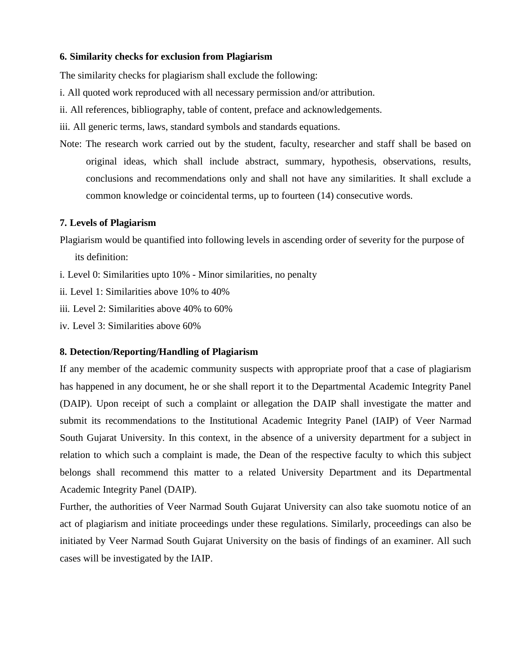### **6. Similarity checks for exclusion from Plagiarism**

The similarity checks for plagiarism shall exclude the following:

- i. All quoted work reproduced with all necessary permission and/or attribution.
- ii. All references, bibliography, table of content, preface and acknowledgements.
- iii. All generic terms, laws, standard symbols and standards equations.
- Note: The research work carried out by the student, faculty, researcher and staff shall be based on original ideas, which shall include abstract, summary, hypothesis, observations, results, conclusions and recommendations only and shall not have any similarities. It shall exclude a common knowledge or coincidental terms, up to fourteen (14) consecutive words.

#### **7. Levels of Plagiarism**

- Plagiarism would be quantified into following levels in ascending order of severity for the purpose of its definition:
- i. Level 0: Similarities upto 10% Minor similarities, no penalty
- ii. Level 1: Similarities above 10% to 40%
- iii. Level 2: Similarities above 40% to 60%
- iv. Level 3: Similarities above 60%

### **8. Detection/Reporting/Handling of Plagiarism**

If any member of the academic community suspects with appropriate proof that a case of plagiarism has happened in any document, he or she shall report it to the Departmental Academic Integrity Panel (DAIP). Upon receipt of such a complaint or allegation the DAIP shall investigate the matter and submit its recommendations to the Institutional Academic Integrity Panel (IAIP) of Veer Narmad South Gujarat University. In this context, in the absence of a university department for a subject in relation to which such a complaint is made, the Dean of the respective faculty to which this subject belongs shall recommend this matter to a related University Department and its Departmental Academic Integrity Panel (DAIP).

Further, the authorities of Veer Narmad South Gujarat University can also take suomotu notice of an act of plagiarism and initiate proceedings under these regulations. Similarly, proceedings can also be initiated by Veer Narmad South Gujarat University on the basis of findings of an examiner. All such cases will be investigated by the IAIP.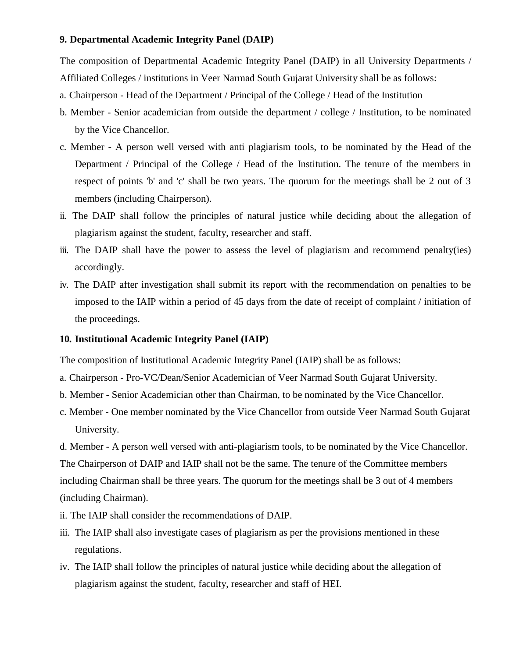#### **9. Departmental Academic Integrity Panel (DAIP)**

The composition of Departmental Academic Integrity Panel (DAIP) in all University Departments / Affiliated Colleges / institutions in Veer Narmad South Gujarat University shall be as follows:

- a. Chairperson Head of the Department / Principal of the College / Head of the Institution
- b. Member Senior academician from outside the department / college / Institution, to be nominated by the Vice Chancellor.
- c. Member A person well versed with anti plagiarism tools, to be nominated by the Head of the Department / Principal of the College / Head of the Institution. The tenure of the members in respect of points 'b' and 'c' shall be two years. The quorum for the meetings shall be 2 out of 3 members (including Chairperson).
- ii. The DAIP shall follow the principles of natural justice while deciding about the allegation of plagiarism against the student, faculty, researcher and staff.
- iii. The DAIP shall have the power to assess the level of plagiarism and recommend penalty(ies) accordingly.
- iv. The DAIP after investigation shall submit its report with the recommendation on penalties to be imposed to the IAIP within a period of 45 days from the date of receipt of complaint / initiation of the proceedings.

### **10. Institutional Academic Integrity Panel (IAIP)**

The composition of Institutional Academic Integrity Panel (IAIP) shall be as follows:

- a. Chairperson Pro-VC/Dean/Senior Academician of Veer Narmad South Gujarat University.
- b. Member Senior Academician other than Chairman, to be nominated by the Vice Chancellor.
- c. Member One member nominated by the Vice Chancellor from outside Veer Narmad South Gujarat University.

d. Member - A person well versed with anti-plagiarism tools, to be nominated by the Vice Chancellor. The Chairperson of DAIP and IAIP shall not be the same. The tenure of the Committee members including Chairman shall be three years. The quorum for the meetings shall be 3 out of 4 members (including Chairman).

- ii. The IAIP shall consider the recommendations of DAIP.
- iii. The IAIP shall also investigate cases of plagiarism as per the provisions mentioned in these regulations.
- iv. The IAIP shall follow the principles of natural justice while deciding about the allegation of plagiarism against the student, faculty, researcher and staff of HEI.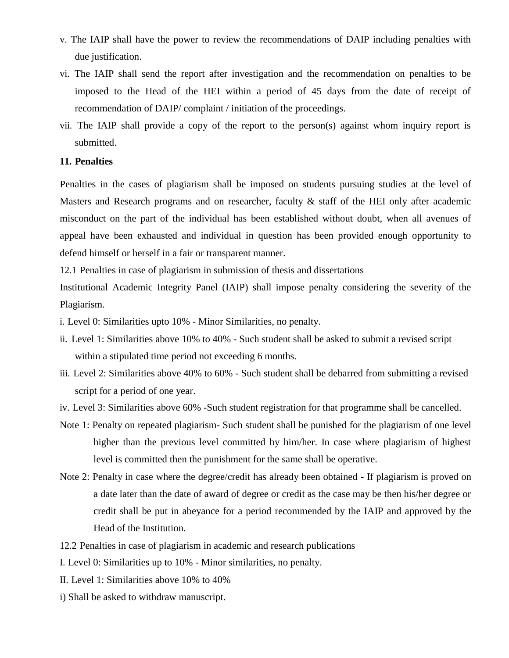- v. The IAIP shall have the power to review the recommendations of DAIP including penalties with due justification.
- vi. The IAIP shall send the report after investigation and the recommendation on penalties to be imposed to the Head of the HEI within a period of 45 days from the date of receipt of recommendation of DAIP/ complaint / initiation of the proceedings.
- vii. The IAIP shall provide a copy of the report to the person(s) against whom inquiry report is submitted.

#### **11. Penalties**

Penalties in the cases of plagiarism shall be imposed on students pursuing studies at the level of Masters and Research programs and on researcher, faculty  $\&$  staff of the HEI only after academic misconduct on the part of the individual has been established without doubt, when all avenues of appeal have been exhausted and individual in question has been provided enough opportunity to defend himself or herself in a fair or transparent manner.

12.1 Penalties in case of plagiarism in submission of thesis and dissertations

Institutional Academic Integrity Panel (IAIP) shall impose penalty considering the severity of the Plagiarism.

i. Level 0: Similarities upto 10% - Minor Similarities, no penalty.

- ii. Level 1: Similarities above 10% to 40% Such student shall be asked to submit a revised script within a stipulated time period not exceeding 6 months.
- iii. Level 2: Similarities above 40% to 60% Such student shall be debarred from submitting a revised script for a period of one year.
- iv. Level 3: Similarities above 60% -Such student registration for that programme shall be cancelled.
- Note 1: Penalty on repeated plagiarism- Such student shall be punished for the plagiarism of one level higher than the previous level committed by him/her. In case where plagiarism of highest level is committed then the punishment for the same shall be operative.
- Note 2: Penalty in case where the degree/credit has already been obtained If plagiarism is proved on a date later than the date of award of degree or credit as the case may be then his/her degree or credit shall be put in abeyance for a period recommended by the IAIP and approved by the Head of the Institution.
- 12.2 Penalties in case of plagiarism in academic and research publications
- I. Level 0: Similarities up to 10% Minor similarities, no penalty.
- II. Level 1: Similarities above 10% to 40%
- i) Shall be asked to withdraw manuscript.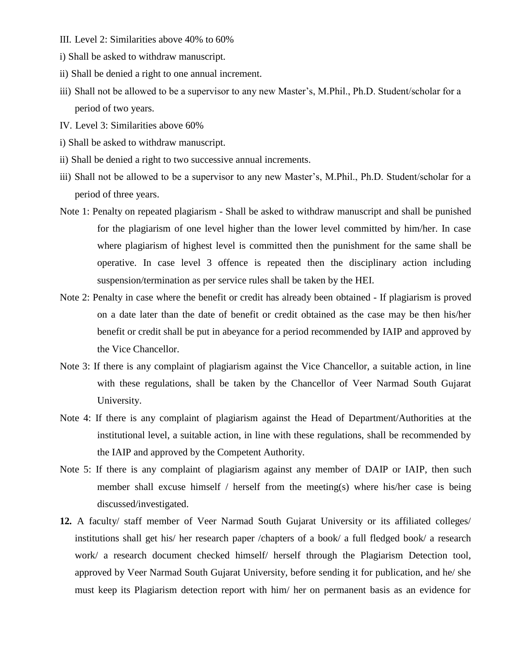- III. Level 2: Similarities above 40% to 60%
- i) Shall be asked to withdraw manuscript.
- ii) Shall be denied a right to one annual increment.
- iii) Shall not be allowed to be a supervisor to any new Master's, M.Phil., Ph.D. Student/scholar for a period of two years.
- IV. Level 3: Similarities above 60%
- i) Shall be asked to withdraw manuscript.
- ii) Shall be denied a right to two successive annual increments.
- iii) Shall not be allowed to be a supervisor to any new Master's, M.Phil., Ph.D. Student/scholar for a period of three years.
- Note 1: Penalty on repeated plagiarism Shall be asked to withdraw manuscript and shall be punished for the plagiarism of one level higher than the lower level committed by him/her. In case where plagiarism of highest level is committed then the punishment for the same shall be operative. In case level 3 offence is repeated then the disciplinary action including suspension/termination as per service rules shall be taken by the HEI.
- Note 2: Penalty in case where the benefit or credit has already been obtained If plagiarism is proved on a date later than the date of benefit or credit obtained as the case may be then his/her benefit or credit shall be put in abeyance for a period recommended by IAIP and approved by the Vice Chancellor.
- Note 3: If there is any complaint of plagiarism against the Vice Chancellor, a suitable action, in line with these regulations, shall be taken by the Chancellor of Veer Narmad South Gujarat University.
- Note 4: If there is any complaint of plagiarism against the Head of Department/Authorities at the institutional level, a suitable action, in line with these regulations, shall be recommended by the IAIP and approved by the Competent Authority.
- Note 5: If there is any complaint of plagiarism against any member of DAIP or IAIP, then such member shall excuse himself / herself from the meeting(s) where his/her case is being discussed/investigated.
- **12.** A faculty/ staff member of Veer Narmad South Gujarat University or its affiliated colleges/ institutions shall get his/ her research paper /chapters of a book/ a full fledged book/ a research work/ a research document checked himself/ herself through the Plagiarism Detection tool, approved by Veer Narmad South Gujarat University, before sending it for publication, and he/ she must keep its Plagiarism detection report with him/ her on permanent basis as an evidence for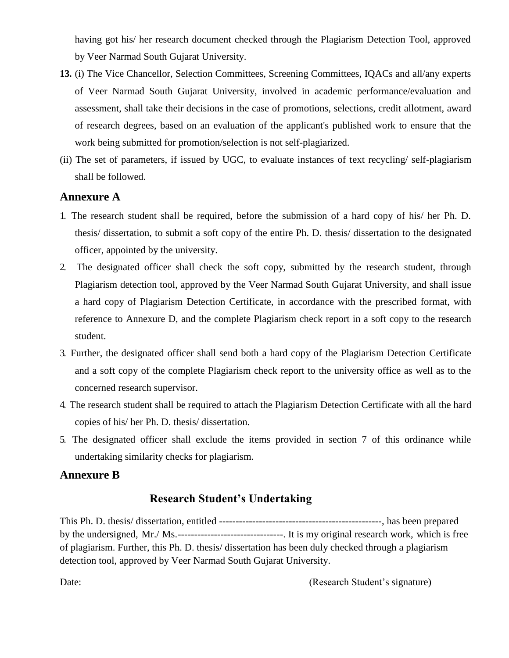having got his/ her research document checked through the Plagiarism Detection Tool, approved by Veer Narmad South Gujarat University.

- **13.** (i) The Vice Chancellor, Selection Committees, Screening Committees, IQACs and all/any experts of Veer Narmad South Gujarat University, involved in academic performance/evaluation and assessment, shall take their decisions in the case of promotions, selections, credit allotment, award of research degrees, based on an evaluation of the applicant's published work to ensure that the work being submitted for promotion/selection is not self-plagiarized.
- (ii) The set of parameters, if issued by UGC, to evaluate instances of text recycling/ self-plagiarism shall be followed.

### **Annexure A**

- 1. The research student shall be required, before the submission of a hard copy of his/ her Ph. D. thesis/ dissertation, to submit a soft copy of the entire Ph. D. thesis/ dissertation to the designated officer, appointed by the university.
- 2. The designated officer shall check the soft copy, submitted by the research student, through Plagiarism detection tool, approved by the Veer Narmad South Gujarat University, and shall issue a hard copy of Plagiarism Detection Certificate, in accordance with the prescribed format, with reference to Annexure D, and the complete Plagiarism check report in a soft copy to the research student.
- 3. Further, the designated officer shall send both a hard copy of the Plagiarism Detection Certificate and a soft copy of the complete Plagiarism check report to the university office as well as to the concerned research supervisor.
- 4. The research student shall be required to attach the Plagiarism Detection Certificate with all the hard copies of his/ her Ph. D. thesis/ dissertation.
- 5. The designated officer shall exclude the items provided in section 7 of this ordinance while undertaking similarity checks for plagiarism.

### **Annexure B**

# **Research Student's Undertaking**

This Ph. D. thesis/ dissertation, entitled -------------------------------------------------, has been prepared by the undersigned, Mr./ Ms.--------------------------------. It is my original research work, which is free of plagiarism. Further, this Ph. D. thesis/ dissertation has been duly checked through a plagiarism detection tool, approved by Veer Narmad South Gujarat University.

Date: (Research Student's signature)